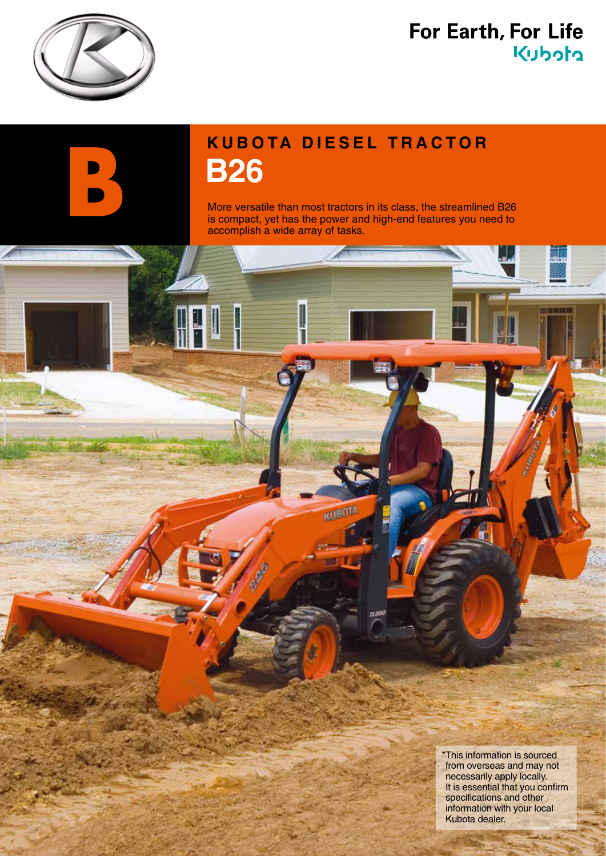

### For Earth, For Life kubota

# **KUBOTA DIESEL TRACTOR**<br> **B26**<br>
More versatile than most tractors in its class, the streamline<br>
is compact, yet has the power and high-end features you n<br>
accomplish a wide array of tasks.

KUBOTA

71.5t

More versatile than most tractors in its class, the streamlined B26 is compact, yet has the power and high-end features you need to accomplish a wide array of tasks.

> \*This information is sourced from overseas and may not necessarily apply locally. It is essential that you confirm specifications and other information with your local Kubota dealer.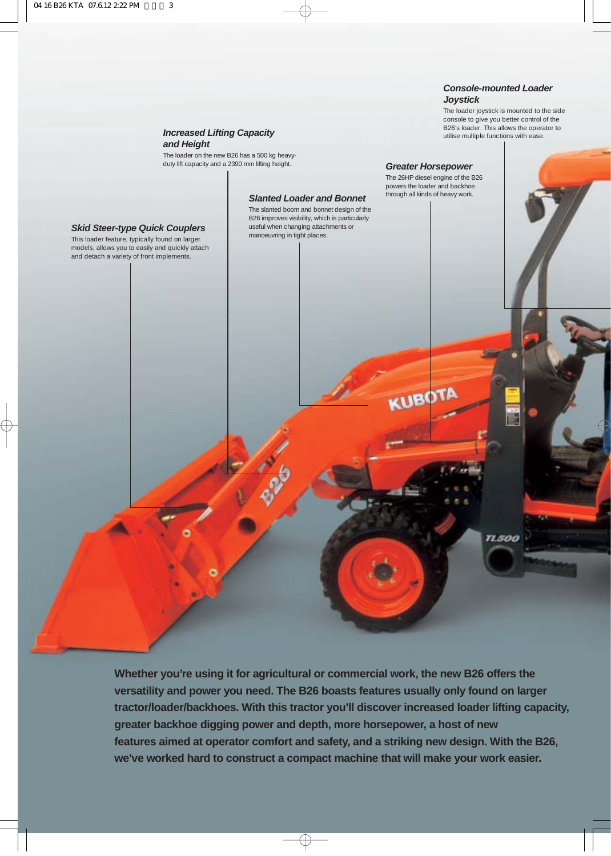#### **Console-mounted Loader Joystick**

**Greater Horsepower** The 26HP diesel engine of the B26 powers the loader and backhoe through all kinds of heavy work.

KUBOTA

The loader joystick is mounted to the side console to give you better control of the B26's loader. This allows the operator to utilise multiple functions with ease.

**TL500** 

#### **Increased Lifting Capacity and Height**

The loader on the new B26 has a 500 kg heavyduty lift capacity and a 2390 mm lifting height.

#### **Slanted Loader and Bonnet**

The slanted boom and bonnet design of the B26 improves visibility, which is particularly useful when changing attachments or manoeuvring in tight places.

#### **Skid Steer-type Quick Couplers**

This loader feature, typically found on larger models, allows you to easily and quickly attach and detach a variety of front implements.

> **Whether you're using it for agricultural or commercial work, the new B26 offers the versatility and power you need. The B26 boasts features usually only found on larger tractor/loader/backhoes. With this tractor you'll discover increased loader lifting capacity, greater backhoe digging power and depth, more horsepower, a host of new features aimed at operator comfort and safety, and a striking new design. With the B26, we've worked hard to construct a compact machine that will make your work easier.**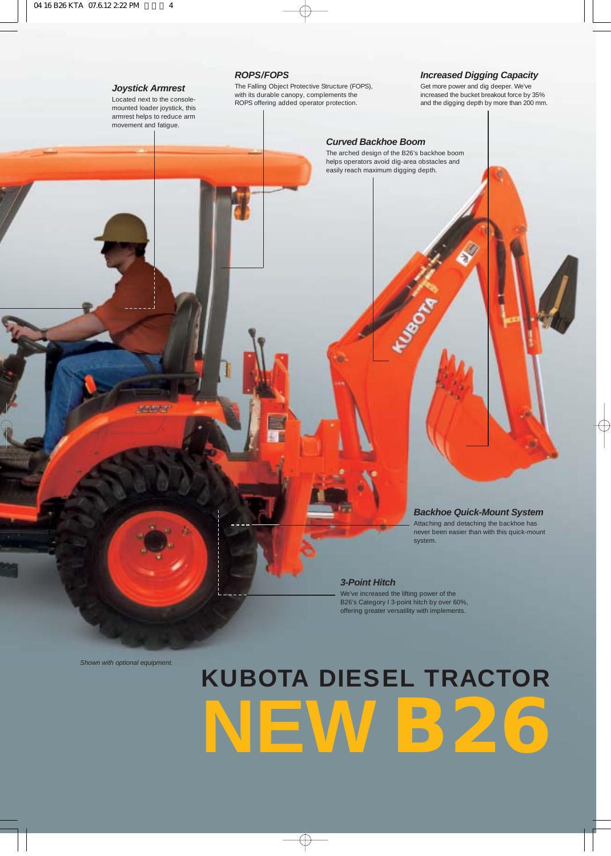#### **Joystick Armrest**

Located next to the consolemounted loader joystick, this armrest helps to reduce arm movement and fatigue.

**ABBYS** 

#### **ROPS/FOPS**

The Falling Object Protective Structure (FOPS), with its durable canopy, complements the ROPS offering added operator protection.

#### **Increased Digging Capacity**

Get more power and dig deeper. We've increased the bucket breakout force by 35% and the digging depth by more than 200 mm.

#### **Curved Backhoe Boom**

The arched design of the B26's backhoe boom helps operators avoid dig-area obstacles and easily reach maximum digging depth.

**Proposition** 

**Backhoe Quick-Mount System**

Attaching and detaching the backhoe has never been easier than with this quick-mount system.

#### **3-Point Hitch**

We've increased the lifting power of the B26's Category I 3-point hitch by over 60%, offering greater versatility with implements.

Shown with optional equipment.

# **KUBOTA DIESEL TRACTOR NEW B26**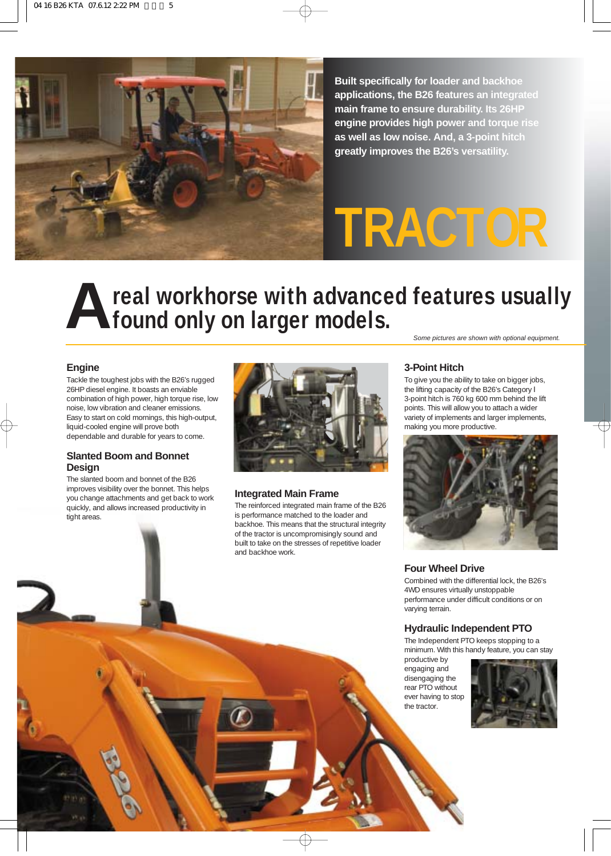

**Built specifically for loader and backhoe applications, the B26 features an integrated main frame to ensure durability. Its 26HP engine provides high power and torque rise as well as low noise. And, a 3-point hitch greatly improves the B26's versatility.**

# **TRACTOR**

#### **A real workhorse with advanced features usually found only on larger models.** Some pictures are shown with optional equipment.

#### **Engine**

Tackle the toughest jobs with the B26's rugged 26HP diesel engine. It boasts an enviable combination of high power, high torque rise, low noise, low vibration and cleaner emissions. Easy to start on cold mornings, this high-output, liquid-cooled engine will prove both dependable and durable for years to come.

#### **Slanted Boom and Bonnet Design**

The slanted boom and bonnet of the B26 improves visibility over the bonnet. This helps you change attachments and get back to work quickly, and allows increased productivity in tight areas.



#### **Integrated Main Frame**

The reinforced integrated main frame of the B26 is performance matched to the loader and backhoe. This means that the structural integrity of the tractor is uncompromisingly sound and built to take on the stresses of repetitive loader and backhoe work.

**3-Point Hitch**

To give you the ability to take on bigger jobs, the lifting capacity of the B26's Category I 3-point hitch is 760 kg 600 mm behind the lift points. This will allow you to attach a wider variety of implements and larger implements, making you more productive.



#### **Four Wheel Drive**

Combined with the differential lock, the B26's 4WD ensures virtually unstoppable performance under difficult conditions or on varying terrain.

#### **Hydraulic Independent PTO**

The Independent PTO keeps stopping to a minimum. With this handy feature, you can stay

productive by engaging and disengaging the rear PTO without ever having to stop the tractor.

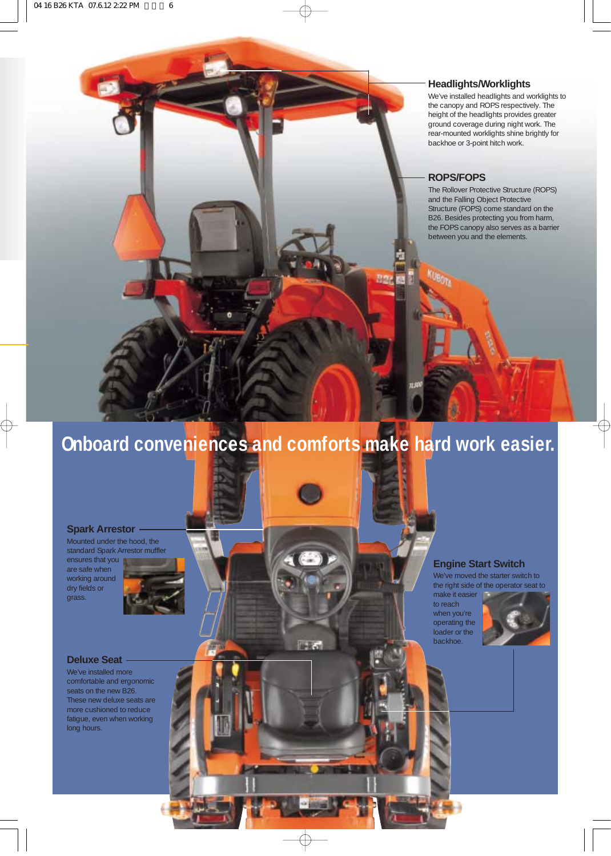#### **Headlights/Worklights**

We've installed headlights and worklights to the canopy and ROPS respectively. The height of the headlights provides greater ground coverage during night work. The rear-mounted worklights shine brightly for backhoe or 3-point hitch work.

#### **ROPS/FOPS**

The Rollover Protective Structure (ROPS) and the Falling Object Protective Structure (FOPS) come standard on the B26. Besides protecting you from harm, the FOPS canopy also serves as a barrier between you and the elements.

### **Onboard conveniences and comforts make hard work easier.**

**IFRO** 

#### **Spark Arrestor**

Mounted under the hood, the standard Spark Arrestor muffler ensures that you are safe when working around dry fields or grass.



#### **Deluxe Seat**

We've installed more comfortable and ergonomic seats on the new B26. These new deluxe seats are more cushioned to reduce fatigue, even when working long hours.

#### **Engine Start Switch**

to reach

backhoe.

We've moved the starter switch to the right side of the operator seat to

make it easier when you're operating the loader or the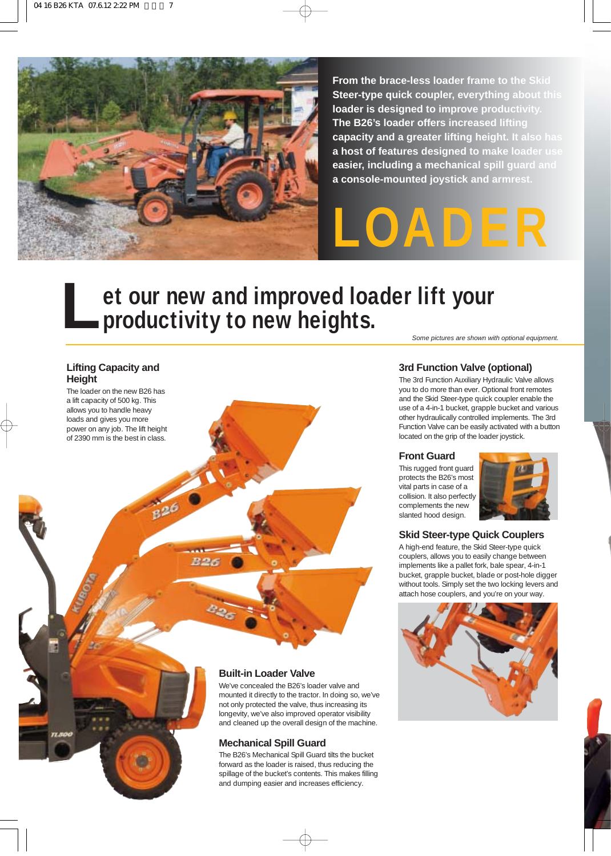

**B26** 

**B26** 

**From the brace-less loader frame to the Skid Steer-type quick coupler, everything about this loader is designed to improve productivity. The B26's loader offers increased lifting capacity and a greater lifting height. It also has a host of features designed to make loader use easier, including a mechanical spill guard and a console-mounted joystick and armrest.** 

**LOADER**

# **et our new and improved loader lift your**<br>**productivity to new heights.**

#### **Lifting Capacity and Height**

The loader on the new B26 has a lift capacity of 500 kg. This allows you to handle heavy loads and gives you more power on any job. The lift height of 2390 mm is the best in class.

Some pictures are shown with optional equipment.

#### **3rd Function Valve (optional)**

The 3rd Function Auxiliary Hydraulic Valve allows you to do more than ever. Optional front remotes and the Skid Steer-type quick coupler enable the use of a 4-in-1 bucket, grapple bucket and various other hydraulically controlled implements. The 3rd Function Valve can be easily activated with a button located on the grip of the loader joystick.

#### **Front Guard**

This rugged front guard protects the B26's most vital parts in case of a collision. It also perfectly complements the new slanted hood design.



#### **Skid Steer-type Quick Couplers**

A high-end feature, the Skid Steer-type quick couplers, allows you to easily change between implements like a pallet fork, bale spear, 4-in-1 bucket, grapple bucket, blade or post-hole digger without tools. Simply set the two locking levers and attach hose couplers, and you're on your way.



#### **Built-in Loader Valve**

We've concealed the B26's loader valve and mounted it directly to the tractor. In doing so, we've not only protected the valve, thus increasing its longevity, we've also improved operator visibility and cleaned up the overall design of the machine.

#### **Mechanical Spill Guard**

The B26's Mechanical Spill Guard tilts the bucket forward as the loader is raised, thus reducing the spillage of the bucket's contents. This makes filling and dumping easier and increases efficiency.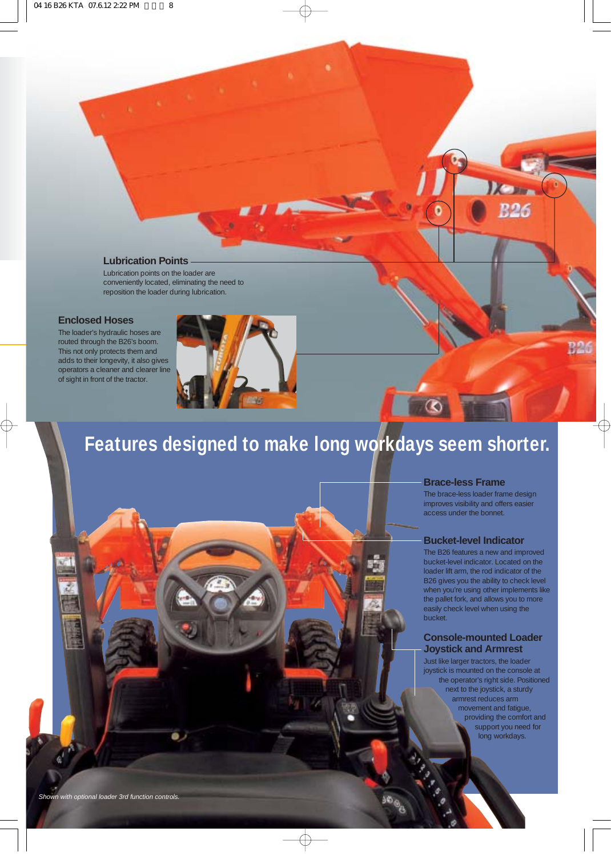#### **Lubrication Points**

Lubrication points on the loader are conveniently located, eliminating the need to reposition the loader during lubrication.

#### **Enclosed Hoses**

The loader's hydraulic hoses are routed through the B26's boom. This not only protects them and adds to their longevity, it also gives operators a cleaner and clearer line of sight in front of the tractor.



### **Features designed to make long workdays seem shorter.**

#### **Brace-less Frame**

The brace-less loader frame design improves visibility and offers easier access under the bonnet.

**Dom** 

O

**R26** 

#### **Bucket-level Indicator**

The B26 features a new and improved bucket-level indicator. Located on the loader lift arm, the rod indicator of the B26 gives you the ability to check level when you're using other implements like the pallet fork, and allows you to more easily check level when using the bucket.

#### **Console-mounted Loader Joystick and Armrest**

Just like larger tractors, the loader joystick is mounted on the console at the operator's right side. Positioned next to the joystick, a sturdy armrest reduces arm movement and fatigue, providing the comfort and support you need for long workdays.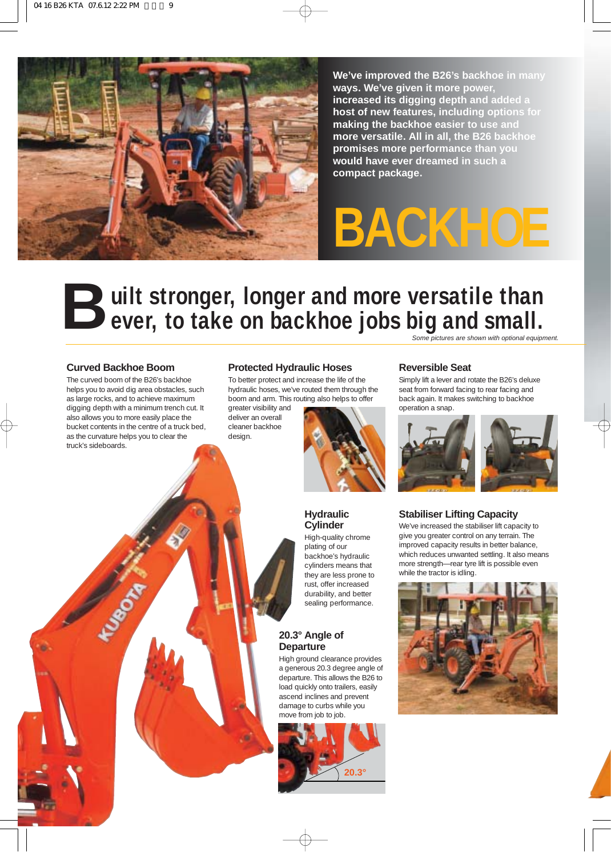

**We've improved the B26's backhoe in many ways. We've given it more power, increased its digging depth and added a host of new features, including options for making the backhoe easier to use and more versatile. All in all, the B26 backhoe promises more performance than you would have ever dreamed in such a compact package.**

# **BACKHOE**

### **B** uilt stronger, longer and more versatile than<br> **B** ever, to take on backhoe jobs big and small. Some pictures are shown with optional equipment.

#### **Curved Backhoe Boom**

**ANTISTICATION** 

The curved boom of the B26's backhoe helps you to avoid dig area obstacles, such as large rocks, and to achieve maximum digging depth with a minimum trench cut. It also allows you to more easily place the bucket contents in the centre of a truck bed, as the curvature helps you to clear the truck's sideboards.

#### **Protected Hydraulic Hoses**

To better protect and increase the life of the hydraulic hoses, we've routed them through the boom and arm. This routing also helps to offer

greater visibility and deliver an overall cleaner backhoe design.



#### **Hydraulic Cylinder**

High-quality chrome plating of our backhoe's hydraulic cylinders means that they are less prone to rust, offer increased durability, and better sealing performance.

#### **20.3° Angle of Departure**

High ground clearance provides a generous 20.3 degree angle of departure. This allows the B26 to load quickly onto trailers, easily ascend inclines and prevent damage to curbs while you move from job to job.



#### **Reversible Seat**

Simply lift a lever and rotate the B26's deluxe seat from forward facing to rear facing and back again. It makes switching to backhoe operation a snap.



#### **Stabiliser Lifting Capacity**

We've increased the stabiliser lift capacity to give you greater control on any terrain. The improved capacity results in better balance, which reduces unwanted settling. It also means more strength—rear tyre lift is possible even while the tractor is idling.

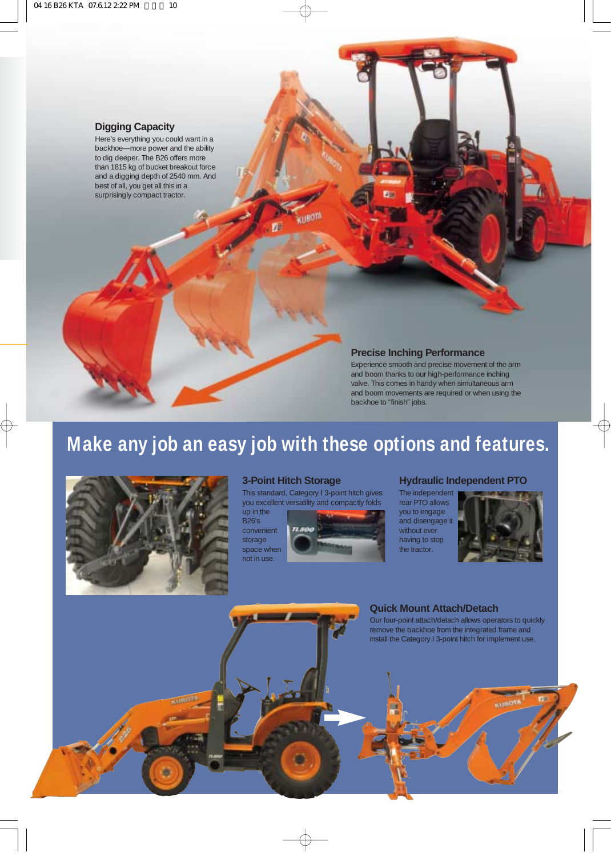#### **Digging Capacity**

Here's everything you could want in a backhoe—more power and the ability to dig deeper. The B26 offers more than 1815 kg of bucket breakout force and a digging depth of 2540 mm. And best of all, you get all this in a surprisingly compact tractor.

#### **Precise Inching Performance**

Experience smooth and precise movement of the arm and boom thanks to our high-performance inching valve. This comes in handy when simultaneous arm and boom movements are required or when using the backhoe to "finish" jobs.

### **Make any job an easy job with these options and features.**



#### **3-Point Hitch Storage**

This standard, Category I 3-point hitch gives you excellent versatility and compactly folds

up in the B26's convenient storage space when not in use.



#### **Hydraulic Independent PTO**

The independent rear PTO allows you to engage and disengage it without ever having to stop the tractor.



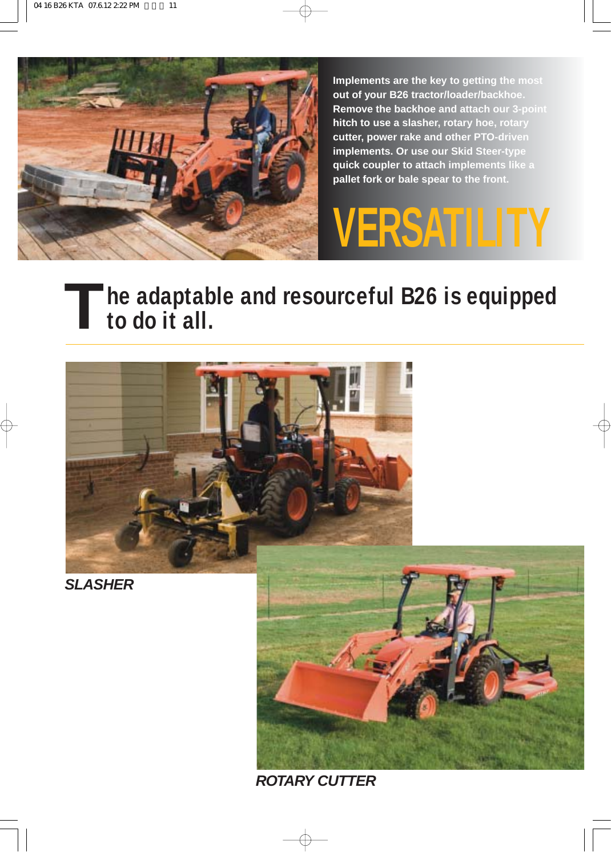

**Implements are the key to getting the most out of your B26 tractor/loader/backhoe. Remove the backhoe and attach our 3-point hitch to use a slasher, rotary hoe, rotary cutter, power rake and other PTO-driven implements. Or use our Skid Steer-type quick coupler to attach implements like a pallet fork or bale spear to the front.**

# **VERSATILITY**

# **he adaptable and resourceful B26 is equipped Tto do it all.**



**ROTARY CUTTER**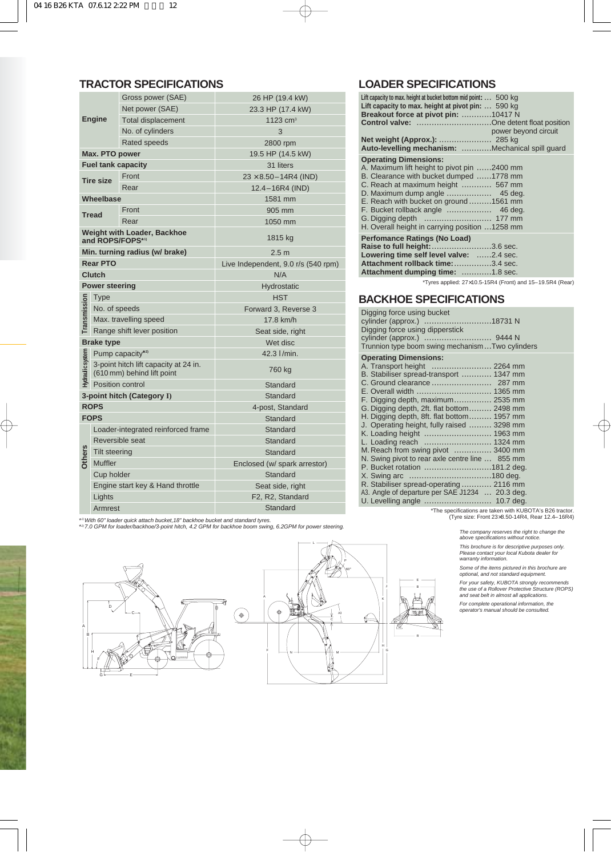|                                                        | Gross power (SAE)                                                   |                           | 26 HP (19.4 kW)                     |
|--------------------------------------------------------|---------------------------------------------------------------------|---------------------------|-------------------------------------|
|                                                        |                                                                     | Net power (SAE)           | 23.3 HP (17.4 kW)                   |
|                                                        | <b>Engine</b>                                                       | <b>Total displacement</b> | 1123 $cm3$                          |
|                                                        |                                                                     | No. of cylinders          | 3                                   |
|                                                        |                                                                     | Rated speeds              | 2800 rpm                            |
| Max. PTO power                                         |                                                                     |                           | 19.5 HP (14.5 kW)                   |
| <b>Fuel tank capacity</b>                              |                                                                     |                           | 31 liters                           |
|                                                        | <b>Tire size</b>                                                    | Front                     | $23 \times 8.50 - 14R4$ (IND)       |
|                                                        |                                                                     | Rear                      | 12.4-16R4 (IND)                     |
| Wheelbase                                              |                                                                     |                           | 1581 mm                             |
| <b>Tread</b>                                           |                                                                     | Front                     | 905 mm                              |
|                                                        |                                                                     | Rear                      | 1050 mm                             |
| <b>Weight with Loader, Backhoe</b><br>and ROPS/FOPS*1) |                                                                     |                           | 1815 kg                             |
| Min. turning radius (w/ brake)                         |                                                                     |                           | 2.5 <sub>m</sub>                    |
| <b>Rear PTO</b>                                        |                                                                     |                           | Live Independent, 9.0 r/s (540 rpm) |
| <b>Clutch</b>                                          |                                                                     |                           | N/A                                 |
| <b>Power steering</b>                                  |                                                                     |                           | Hydrostatic                         |
|                                                        | <b>Type</b>                                                         |                           | <b>HST</b>                          |
| Transmission                                           | No. of speeds                                                       |                           | Forward 3, Reverse 3                |
|                                                        | Max. travelling speed                                               |                           | 17.8 km/h                           |
|                                                        | Range shift lever position                                          |                           | Seat side, right                    |
| <b>Brake type</b>                                      |                                                                     |                           | Wet disc                            |
|                                                        | Pump capacity*2)                                                    |                           | 42.3  /min.                         |
| Hydraulic system                                       | 3-point hitch lift capacity at 24 in.<br>(610 mm) behind lift point |                           | 760 kg                              |
|                                                        | Position control                                                    |                           | Standard                            |
| 3-point hitch (Category I)                             |                                                                     |                           | Standard                            |
|                                                        | <b>ROPS</b>                                                         |                           | 4-post, Standard                    |
| <b>FOPS</b>                                            |                                                                     |                           | Standard                            |
|                                                        | Loader-integrated reinforced frame                                  |                           | Standard                            |
|                                                        | Reversible seat                                                     |                           | Standard                            |
|                                                        | <b>Tilt steering</b>                                                |                           | Standard                            |
| <b>Others</b>                                          | <b>Muffler</b>                                                      |                           | Enclosed (w/ spark arrestor)        |
|                                                        | Cup holder                                                          |                           | Standard                            |
|                                                        | Engine start key & Hand throttle                                    |                           | Seat side, right                    |
|                                                        | Lights                                                              |                           | F2, R2, Standard                    |
|                                                        | Armrest                                                             |                           | Standard                            |

#### **TRACTOR SPECIFICATIONS LOADER SPECIFICATIONS**

| Lift capacity to max. height at bucket bottom mid point:  500 kg<br>Lift capacity to max. height at pivot pin:  590 kg<br>Breakout force at pivot pin: 10417 N<br><b>Control valve:</b> One detent float position<br>Net weight (Approx.):  285 kg<br>Auto-levelling mechanism: Mechanical spill guard | power beyond circuit |
|--------------------------------------------------------------------------------------------------------------------------------------------------------------------------------------------------------------------------------------------------------------------------------------------------------|----------------------|
| <b>Operating Dimensions:</b><br>A. Maximum lift height to pivot pin 2400 mm<br>B. Clearance with bucket dumped 1778 mm<br>C. Reach at maximum height  567 mm<br>E. Reach with bucket on ground 1561 mm<br>H. Overall height in carrying position 1258 mm                                               |                      |
| <b>Perfomance Ratings (No Load)</b><br>Raise to full height: 3.6 sec.<br>Lowering time self level valve: 2.4 sec.<br>Attachment rollback time: 3.4 sec.<br><b>Attachment dumping time:</b> 1.8 sec.                                                                                                    |                      |

\*Tyres applied: 27×10.5-15R4 (Front) and 15–19.5R4 (Rear)

#### **BACKHOE SPECIFICATIONS**

| Digging force using bucket<br>Digging force using dipperstick<br>Trunnion type boom swing mechanismTwo cylinders |
|------------------------------------------------------------------------------------------------------------------|
| <b>Operating Dimensions:</b>                                                                                     |
| A. Transport height  2264 mm                                                                                     |
| B. Stabiliser spread-transport  1347 mm                                                                          |
|                                                                                                                  |
|                                                                                                                  |
| F. Digging depth, maximum 2535 mm                                                                                |
| G. Digging depth, 2ft. flat bottom 2498 mm                                                                       |
| H. Digging depth, 8ft. flat bottom 1957 mm                                                                       |
| J. Operating height, fully raised  3298 mm                                                                       |
| K. Loading height  1963 mm                                                                                       |
| L. Loading reach  1324 mm                                                                                        |
| M. Reach from swing pivot  3400 mm                                                                               |
| N. Swing pivot to rear axle centre line  855 mm                                                                  |
|                                                                                                                  |
|                                                                                                                  |
| R. Stabiliser spread-operating  2116 mm                                                                          |
| A3. Angle of departure per SAE J1234  20.3 deg.                                                                  |
|                                                                                                                  |

\*The specifications are taken with KUBOTA's B26 tractor. (Tyre size: Front 23×8.50-14R4, Rear 12.4–16R4)

P60°

\*1) With 60" loader quick attach bucket,18" backhoe bucket and standard tyres. \*2) 7.0 GPM for loader/backhoe/3-point hitch, 4.2 GPM for backhoe boom swing, 6.2GPM for power steering.



A B



The company reserves the right to change the above specifications without notice.

This brochure is for descriptive purposes only. Please contact your local Kubota dealer for warranty information.

Some of the items pictured in this brochure are optional, and not standard equipment.

For your safety, KUBOTA strongly recommends the use of a Rollover Protective Structure (ROPS) and seat belt in almost all applications.

For complete operational information, the operator's manual should be consulted.